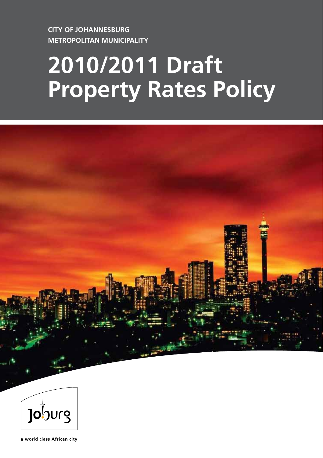**CITY OF JOHANNESBURG METROPOLITAN MUNICIPALITY**

# **2010/2011 Draft Property Rates Policy**





a world class African city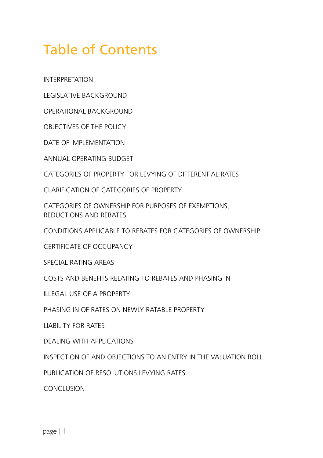## Table of Contents

INTERPRETATION

LEGISLATIVE BACKGROUND

OPERATIONAL BACKGROUND

OBJECTIVES OF THE POLICY

DATE OF IMPLEMENTATION

ANNUAL OPERATING BUDGET

CATEGORIES OF PROPERTY FOR LEVYING OF DIFFERENTIAL RATES

CLARIFICATION OF CATEGORIES OF PROPERTY

CATEGORIES OF OWNERSHIP FOR PURPOSES OF EXEMPTIONS, REDUCTIONS AND REBATES

CONDITIONS APPLICABLE TO REBATES FOR CATEGORIES OF OWNERSHIP

CERTIFICATE OF OCCUPANCY

SPECIAL RATING AREAS

COSTS AND BENEFITS RELATING TO REBATES AND PHASING IN

ILLEGAL USE OF A PROPERTY

PHASING IN OF RATES ON NEWLY RATABLE PROPERTY

LIABILITY FOR RATES

DEALING WITH APPLICATIONS

INSPECTION OF AND OBJECTIONS TO AN ENTRY IN THE VALUATION ROLL

PUBLICATION OF RESOLUTIONS LEVYING RATES

CONCLUSION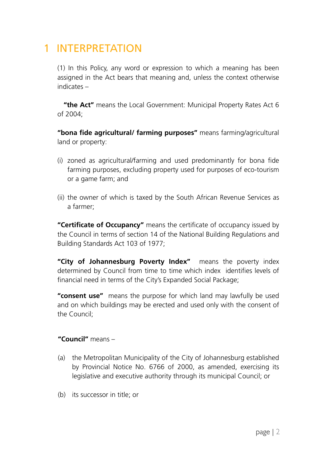### 1 INTERPRETATION

(1) In this Policy, any word or expression to which a meaning has been assigned in the Act bears that meaning and, unless the context otherwise indicates –

**"the Act"** means the Local Government: Municipal Property Rates Act 6 of 2004;

**"bona fide agricultural/ farming purposes"** means farming/agricultural land or property:

- (i) zoned as agricultural/farming and used predominantly for bona fide farming purposes, excluding property used for purposes of eco-tourism or a game farm; and
- (ii) the owner of which is taxed by the South African Revenue Services as a farmer;

**"Certificate of Occupancy"** means the certificate of occupancy issued by the Council in terms of section 14 of the National Building Regulations and Building Standards Act 103 of 1977;

**"City of Johannesburg Poverty Index"** means the poverty index determined by Council from time to time which index identifies levels of financial need in terms of the City's Expanded Social Package;

**"consent use"** means the purpose for which land may lawfully be used and on which buildings may be erected and used only with the consent of the Council;

#### **"Council"** means –

- (a) the Metropolitan Municipality of the City of Johannesburg established by Provincial Notice No. 6766 of 2000, as amended, exercising its legislative and executive authority through its municipal Council; or
- (b) its successor in title; or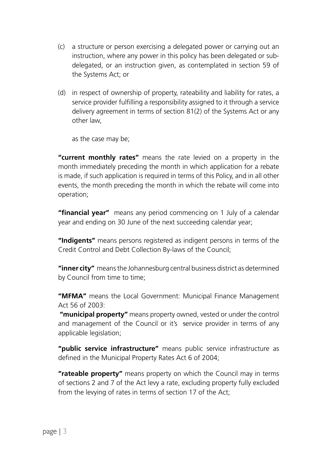- (c) a structure or person exercising a delegated power or carrying out an instruction, where any power in this policy has been delegated or subdelegated, or an instruction given, as contemplated in section 59 of the Systems Act; or
- (d) in respect of ownership of property, rateability and liability for rates, a service provider fulfilling a responsibility assigned to it through a service delivery agreement in terms of section 81(2) of the Systems Act or any other law,

as the case may be;

**"current monthly rates"** means the rate levied on a property in the month immediately preceding the month in which application for a rebate is made, if such application is required in terms of this Policy, and in all other events, the month preceding the month in which the rebate will come into operation;

**"financial year"** means any period commencing on 1 July of a calendar year and ending on 30 June of the next succeeding calendar year;

**"Indigents"** means persons registered as indigent persons in terms of the Credit Control and Debt Collection By-laws of the Council;

**"inner city"** means the Johannesburg central business district as determined by Council from time to time;

**"MFMA"** means the Local Government: Municipal Finance Management Act 56 of 2003:

 **"municipal property"** means property owned, vested or under the control and management of the Council or it's service provider in terms of any applicable legislation;

**"public service infrastructure"** means public service infrastructure as defined in the Municipal Property Rates Act 6 of 2004;

**"rateable property"** means property on which the Council may in terms of sections 2 and 7 of the Act levy a rate, excluding property fully excluded from the levying of rates in terms of section 17 of the Act;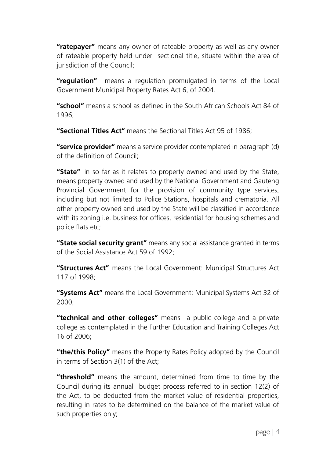**"ratepayer"** means any owner of rateable property as well as any owner of rateable property held under sectional title, situate within the area of jurisdiction of the Council:

**"regulation"** means a regulation promulgated in terms of the Local Government Municipal Property Rates Act 6, of 2004.

**"school"** means a school as defined in the South African Schools Act 84 of 1996;

**"Sectional Titles Act"** means the Sectional Titles Act 95 of 1986;

**"service provider"** means a service provider contemplated in paragraph (d) of the definition of Council;

**"State"** in so far as it relates to property owned and used by the State, means property owned and used by the National Government and Gauteng Provincial Government for the provision of community type services, including but not limited to Police Stations, hospitals and crematoria. All other property owned and used by the State will be classified in accordance with its zoning i.e. business for offices, residential for housing schemes and police flats etc;

**"State social security grant"** means any social assistance granted in terms of the Social Assistance Act 59 of 1992;

**"Structures Act"** means the Local Government: Municipal Structures Act 117 of 1998;

**"Systems Act"** means the Local Government: Municipal Systems Act 32 of 2000;

**"technical and other colleges"** means a public college and a private college as contemplated in the Further Education and Training Colleges Act 16 of 2006;

**"the/this Policy"** means the Property Rates Policy adopted by the Council in terms of Section 3(1) of the Act;

**"threshold"** means the amount, determined from time to time by the Council during its annual budget process referred to in section 12(2) of the Act, to be deducted from the market value of residential properties, resulting in rates to be determined on the balance of the market value of such properties only;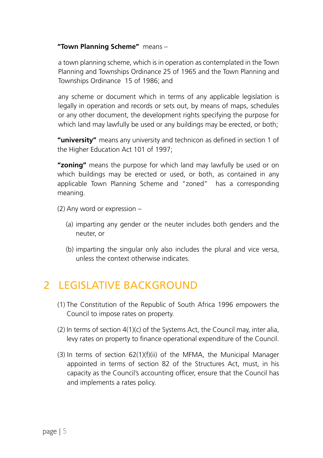#### **"Town Planning Scheme"** means –

a town planning scheme, which is in operation as contemplated in the Town Planning and Townships Ordinance 25 of 1965 and the Town Planning and Townships Ordinance 15 of 1986; and

any scheme or document which in terms of any applicable legislation is legally in operation and records or sets out, by means of maps, schedules or any other document, the development rights specifying the purpose for which land may lawfully be used or any buildings may be erected, or both;

**"university"** means any university and technicon as defined in section 1 of the Higher Education Act 101 of 1997;

**"zoning"** means the purpose for which land may lawfully be used or on which buildings may be erected or used, or both, as contained in any applicable Town Planning Scheme and "zoned" has a corresponding meaning.

(2) Any word or expression –

- (a) imparting any gender or the neuter includes both genders and the neuter, or
- (b) imparting the singular only also includes the plural and vice versa, unless the context otherwise indicates.

### 2 LEGISLATIVE BACKGROUND

- (1) The Constitution of the Republic of South Africa 1996 empowers the Council to impose rates on property.
- (2) In terms of section 4(1)(c) of the Systems Act, the Council may, inter alia, levy rates on property to finance operational expenditure of the Council.
- (3) In terms of section 62(1)(f)(ii) of the MFMA, the Municipal Manager appointed in terms of section 82 of the Structures Act, must, in his capacity as the Council's accounting officer, ensure that the Council has and implements a rates policy.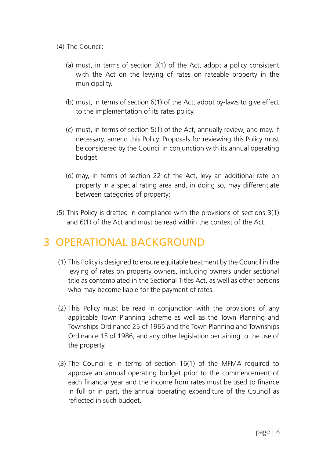- (4) The Council:
	- (a) must, in terms of section 3(1) of the Act, adopt a policy consistent with the Act on the levying of rates on rateable property in the municipality.
	- (b) must, in terms of section 6(1) of the Act, adopt by-laws to give effect to the implementation of its rates policy.
	- (c) must, in terms of section 5(1) of the Act, annually review, and may, if necessary, amend this Policy. Proposals for reviewing this Policy must be considered by the Council in conjunction with its annual operating budget.
	- (d) may, in terms of section 22 of the Act, levy an additional rate on property in a special rating area and, in doing so, may differentiate between categories of property;
- (5) This Policy is drafted in compliance with the provisions of sections 3(1) and 6(1) of the Act and must be read within the context of the Act.

### 3 OPERATIONAL BACKGROUND

- (1) This Policy is designed to ensure equitable treatment by the Council in the levying of rates on property owners, including owners under sectional title as contemplated in the Sectional Titles Act, as well as other persons who may become liable for the payment of rates.
- (2) This Policy must be read in conjunction with the provisions of any applicable Town Planning Scheme as well as the Town Planning and Townships Ordinance 25 of 1965 and the Town Planning and Townships Ordinance 15 of 1986, and any other legislation pertaining to the use of the property.
- (3) The Council is in terms of section 16(1) of the MFMA required to approve an annual operating budget prior to the commencement of each financial year and the income from rates must be used to finance in full or in part, the annual operating expenditure of the Council as reflected in such budget.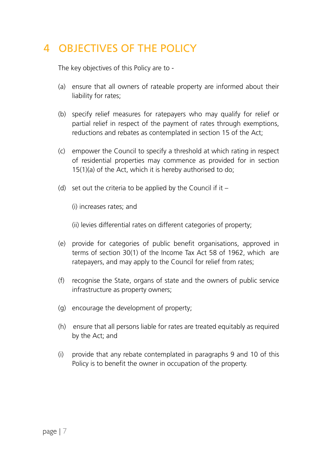### 4 OBJECTIVES OF THE POLICY

The key objectives of this Policy are to -

- (a) ensure that all owners of rateable property are informed about their liability for rates;
- (b) specify relief measures for ratepayers who may qualify for relief or partial relief in respect of the payment of rates through exemptions, reductions and rebates as contemplated in section 15 of the Act;
- (c) empower the Council to specify a threshold at which rating in respect of residential properties may commence as provided for in section 15(1)(a) of the Act, which it is hereby authorised to do;
- (d) set out the criteria to be applied by the Council if it  $-$ 
	- (i) increases rates; and

(ii) levies differential rates on different categories of property;

- (e) provide for categories of public benefit organisations, approved in terms of section 30(1) of the Income Tax Act 58 of 1962, which are ratepayers, and may apply to the Council for relief from rates;
- (f) recognise the State, organs of state and the owners of public service infrastructure as property owners;
- (g) encourage the development of property;
- (h) ensure that all persons liable for rates are treated equitably as required by the Act; and
- (i) provide that any rebate contemplated in paragraphs 9 and 10 of this Policy is to benefit the owner in occupation of the property.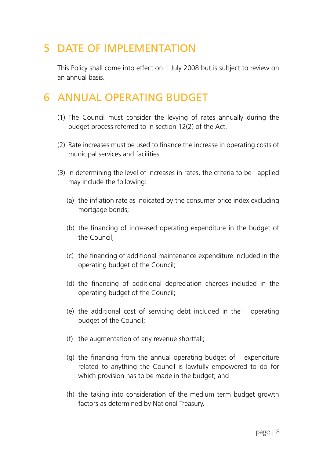### 5 DATE OF IMPLEMENTATION

This Policy shall come into effect on 1 July 2008 but is subject to review on an annual basis.

### 6 ANNUAL OPERATING BUDGET

- (1) The Council must consider the levying of rates annually during the budget process referred to in section 12(2) of the Act.
- (2) Rate increases must be used to finance the increase in operating costs of municipal services and facilities.
- (3) In determining the level of increases in rates, the criteria to be applied may include the following:
	- (a) the inflation rate as indicated by the consumer price index excluding mortgage bonds;
	- (b) the financing of increased operating expenditure in the budget of the Council;
	- (c) the financing of additional maintenance expenditure included in the operating budget of the Council;
	- (d) the financing of additional depreciation charges included in the operating budget of the Council;
	- (e) the additional cost of servicing debt included in the operating budget of the Council;
	- (f) the augmentation of any revenue shortfall;
	- (g) the financing from the annual operating budget of expenditure related to anything the Council is lawfully empowered to do for which provision has to be made in the budget; and
	- (h) the taking into consideration of the medium term budget growth factors as determined by National Treasury.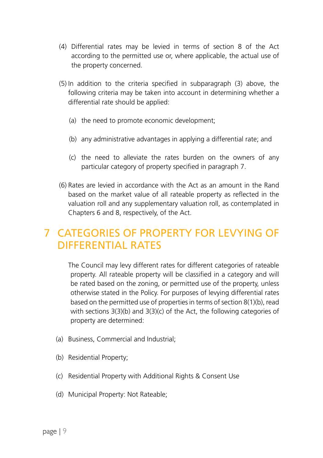- (4) Differential rates may be levied in terms of section 8 of the Act according to the permitted use or, where applicable, the actual use of the property concerned.
- (5) In addition to the criteria specified in subparagraph (3) above, the following criteria may be taken into account in determining whether a differential rate should be applied:
	- (a) the need to promote economic development;
	- (b) any administrative advantages in applying a differential rate; and
	- (c) the need to alleviate the rates burden on the owners of any particular category of property specified in paragraph 7.
- (6) Rates are levied in accordance with the Act as an amount in the Rand based on the market value of all rateable property as reflected in the valuation roll and any supplementary valuation roll, as contemplated in Chapters 6 and 8, respectively, of the Act.

### 7 CATEGORIES OF PROPERTY FOR LEVYING OF DIFFERENTIAL RATES

The Council may levy different rates for different categories of rateable property. All rateable property will be classified in a category and will be rated based on the zoning, or permitted use of the property, unless otherwise stated in the Policy. For purposes of levying differential rates based on the permitted use of properties in terms of section 8(1)(b), read with sections 3(3)(b) and 3(3)(c) of the Act, the following categories of property are determined:

- (a) Business, Commercial and Industrial;
- (b) Residential Property;
- (c) Residential Property with Additional Rights & Consent Use
- (d) Municipal Property: Not Rateable;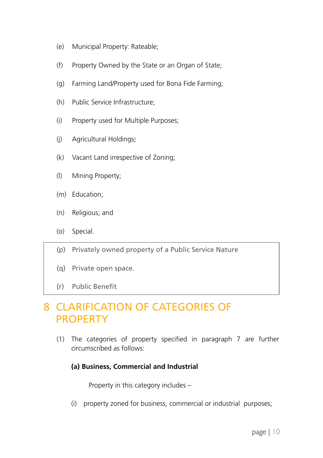- (e) Municipal Property: Rateable;
- (f) Property Owned by the State or an Organ of State;
- (g) Farming Land/Property used for Bona Fide Farming;
- (h) Public Service Infrastructure;
- (i) Property used for Multiple Purposes;
- (j) Agricultural Holdings;
- (k) Vacant Land irrespective of Zoning;
- (l) Mining Property;
- (m) Education;
- (n) Religious; and
- (o) Special.
- (p) Privately owned property of a Public Service Nature
- (q) Private open space.
- (r) Public Benefit

### 8 CLARIFICATION OF CATEGORIES OF **PROPERTY**

(1) The categories of property specified in paragraph 7 are further circumscribed as follows:

#### **(a) Business, Commercial and Industrial**

Property in this category includes –

(i) property zoned for business, commercial or industrial purposes;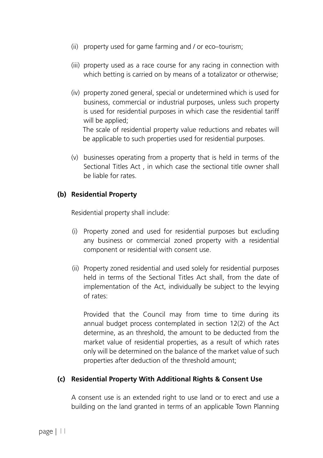- (ii) property used for game farming and / or eco–tourism;
- (iii) property used as a race course for any racing in connection with which betting is carried on by means of a totalizator or otherwise;
- (iv) property zoned general, special or undetermined which is used for business, commercial or industrial purposes, unless such property is used for residential purposes in which case the residential tariff will be applied:

The scale of residential property value reductions and rebates will be applicable to such properties used for residential purposes.

(v) businesses operating from a property that is held in terms of the Sectional Titles Act , in which case the sectional title owner shall be liable for rates.

#### **(b) Residential Property**

Residential property shall include:

- (i) Property zoned and used for residential purposes but excluding any business or commercial zoned property with a residential component or residential with consent use.
- (ii) Property zoned residential and used solely for residential purposes held in terms of the Sectional Titles Act shall, from the date of implementation of the Act, individually be subject to the levying of rates:

Provided that the Council may from time to time during its annual budget process contemplated in section 12(2) of the Act determine, as an threshold, the amount to be deducted from the market value of residential properties, as a result of which rates only will be determined on the balance of the market value of such properties after deduction of the threshold amount;

#### **(c) Residential Property With Additional Rights & Consent Use**

A consent use is an extended right to use land or to erect and use a building on the land granted in terms of an applicable Town Planning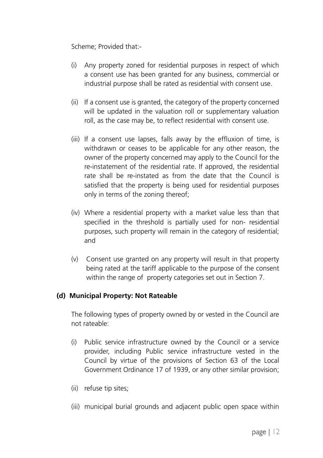Scheme; Provided that:-

- (i) Any property zoned for residential purposes in respect of which a consent use has been granted for any business, commercial or industrial purpose shall be rated as residential with consent use.
- (ii) If a consent use is granted, the category of the property concerned will be updated in the valuation roll or supplementary valuation roll, as the case may be, to reflect residential with consent use.
- (iii) If a consent use lapses, falls away by the effluxion of time, is withdrawn or ceases to be applicable for any other reason, the owner of the property concerned may apply to the Council for the re-instatement of the residential rate. If approved, the residential rate shall be re-instated as from the date that the Council is satisfied that the property is being used for residential purposes only in terms of the zoning thereof;
- (iv) Where a residential property with a market value less than that specified in the threshold is partially used for non- residential purposes, such property will remain in the category of residential; and
- (v) Consent use granted on any property will result in that property being rated at the tariff applicable to the purpose of the consent within the range of property categories set out in Section 7.

#### **(d) Municipal Property: Not Rateable**

The following types of property owned by or vested in the Council are not rateable:

- (i) Public service infrastructure owned by the Council or a service provider, including Public service infrastructure vested in the Council by virtue of the provisions of Section 63 of the Local Government Ordinance 17 of 1939, or any other similar provision;
- (ii) refuse tip sites;
- (iii) municipal burial grounds and adjacent public open space within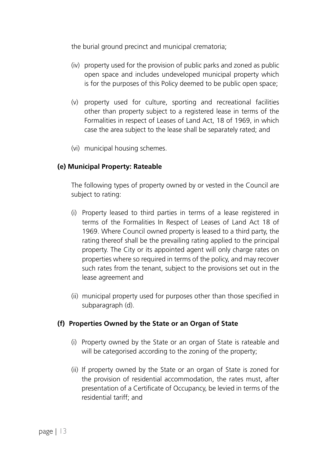the burial ground precinct and municipal crematoria;

- (iv) property used for the provision of public parks and zoned as public open space and includes undeveloped municipal property which is for the purposes of this Policy deemed to be public open space;
- (v) property used for culture, sporting and recreational facilities other than property subject to a registered lease in terms of the Formalities in respect of Leases of Land Act, 18 of 1969, in which case the area subject to the lease shall be separately rated; and
- (vi) municipal housing schemes.

#### **(e) Municipal Property: Rateable**

The following types of property owned by or vested in the Council are subject to rating:

- (i) Property leased to third parties in terms of a lease registered in terms of the Formalities In Respect of Leases of Land Act 18 of 1969. Where Council owned property is leased to a third party, the rating thereof shall be the prevailing rating applied to the principal property. The City or its appointed agent will only charge rates on properties where so required in terms of the policy, and may recover such rates from the tenant, subject to the provisions set out in the lease agreement and
- (ii) municipal property used for purposes other than those specified in subparagraph (d).

#### **(f) Properties Owned by the State or an Organ of State**

- (i) Property owned by the State or an organ of State is rateable and will be categorised according to the zoning of the property;
- (ii) If property owned by the State or an organ of State is zoned for the provision of residential accommodation, the rates must, after presentation of a Certificate of Occupancy, be levied in terms of the residential tariff; and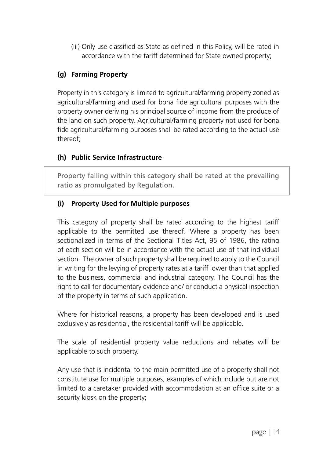(iii) Only use classified as State as defined in this Policy, will be rated in accordance with the tariff determined for State owned property;

#### **(g) Farming Property**

Property in this category is limited to agricultural/farming property zoned as agricultural/farming and used for bona fide agricultural purposes with the property owner deriving his principal source of income from the produce of the land on such property. Agricultural/farming property not used for bona fide agricultural/farming purposes shall be rated according to the actual use thereof;

#### **(h) Public Service Infrastructure**

Property falling within this category shall be rated at the prevailing ratio as promulgated by Regulation.

#### **(i) Property Used for Multiple purposes**

This category of property shall be rated according to the highest tariff applicable to the permitted use thereof. Where a property has been sectionalized in terms of the Sectional Titles Act, 95 of 1986, the rating of each section will be in accordance with the actual use of that individual section. The owner of such property shall be required to apply to the Council in writing for the levying of property rates at a tariff lower than that applied to the business, commercial and industrial category. The Council has the right to call for documentary evidence and/ or conduct a physical inspection of the property in terms of such application.

Where for historical reasons, a property has been developed and is used exclusively as residential, the residential tariff will be applicable.

The scale of residential property value reductions and rebates will be applicable to such property.

Any use that is incidental to the main permitted use of a property shall not constitute use for multiple purposes, examples of which include but are not limited to a caretaker provided with accommodation at an office suite or a security kiosk on the property;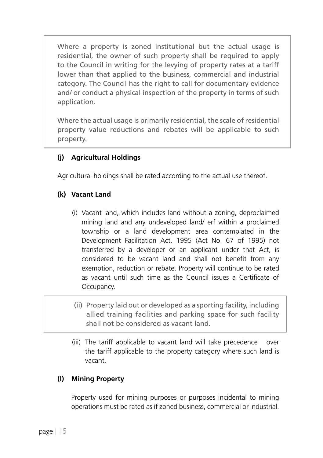Where a property is zoned institutional but the actual usage is residential, the owner of such property shall be required to apply to the Council in writing for the levying of property rates at a tariff lower than that applied to the business, commercial and industrial category. The Council has the right to call for documentary evidence and/ or conduct a physical inspection of the property in terms of such application.

Where the actual usage is primarily residential, the scale of residential property value reductions and rebates will be applicable to such property.

#### **(j) Agricultural Holdings**

Agricultural holdings shall be rated according to the actual use thereof.

#### **(k) Vacant Land**

- (i) Vacant land, which includes land without a zoning, deproclaimed mining land and any undeveloped land/ erf within a proclaimed township or a land development area contemplated in the Development Facilitation Act, 1995 (Act No. 67 of 1995) not transferred by a developer or an applicant under that Act, is considered to be vacant land and shall not benefit from any exemption, reduction or rebate. Property will continue to be rated as vacant until such time as the Council issues a Certificate of Occupancy.
- (ii) Property laid out or developed as a sporting facility, including allied training facilities and parking space for such facility shall not be considered as vacant land.
- (iii) The tariff applicable to vacant land will take precedence over the tariff applicable to the property category where such land is vacant.

#### **(l) Mining Property**

Property used for mining purposes or purposes incidental to mining operations must be rated as if zoned business, commercial or industrial.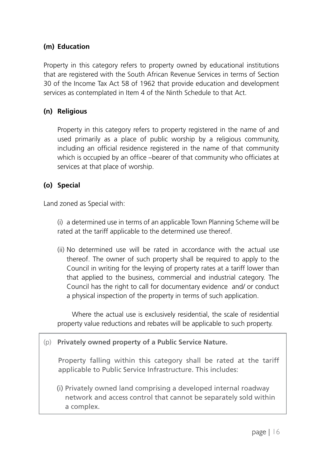#### **(m) Education**

Property in this category refers to property owned by educational institutions that are registered with the South African Revenue Services in terms of Section 30 of the Income Tax Act 58 of 1962 that provide education and development services as contemplated in Item 4 of the Ninth Schedule to that Act.

#### **(n) Religious**

 Property in this category refers to property registered in the name of and used primarily as a place of public worship by a religious community, including an official residence registered in the name of that community which is occupied by an office –bearer of that community who officiates at services at that place of worship.

#### **(o) Special**

Land zoned as Special with:

(i) a determined use in terms of an applicable Town Planning Scheme will be rated at the tariff applicable to the determined use thereof.

(ii) No determined use will be rated in accordance with the actual use thereof. The owner of such property shall be required to apply to the Council in writing for the levying of property rates at a tariff lower than that applied to the business, commercial and industrial category. The Council has the right to call for documentary evidence and/ or conduct a physical inspection of the property in terms of such application.

 Where the actual use is exclusively residential, the scale of residential property value reductions and rebates will be applicable to such property.

#### (p) **Privately owned property of a Public Service Nature.**

Property falling within this category shall be rated at the tariff applicable to Public Service Infrastructure. This includes:

(i) Privately owned land comprising a developed internal roadway network and access control that cannot be separately sold within a complex.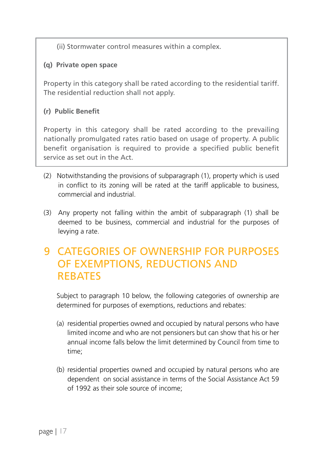(ii) Stormwater control measures within a complex.

#### **(q) Private open space**

Property in this category shall be rated according to the residential tariff. The residential reduction shall not apply.

#### **(r) Public Benefit**

Property in this category shall be rated according to the prevailing nationally promulgated rates ratio based on usage of property. A public benefit organisation is required to provide a specified public benefit service as set out in the Act.

- (2) Notwithstanding the provisions of subparagraph (1), property which is used in conflict to its zoning will be rated at the tariff applicable to business, commercial and industrial.
- (3) Any property not falling within the ambit of subparagraph (1) shall be deemed to be business, commercial and industrial for the purposes of levying a rate.

### 9 CATEGORIES OF OWNERSHIP FOR PURPOSES OF EXEMPTIONS, REDUCTIONS AND **REBATES**

Subject to paragraph 10 below, the following categories of ownership are determined for purposes of exemptions, reductions and rebates:

- (a) residential properties owned and occupied by natural persons who have limited income and who are not pensioners but can show that his or her annual income falls below the limit determined by Council from time to time;
- (b) residential properties owned and occupied by natural persons who are dependent on social assistance in terms of the Social Assistance Act 59 of 1992 as their sole source of income;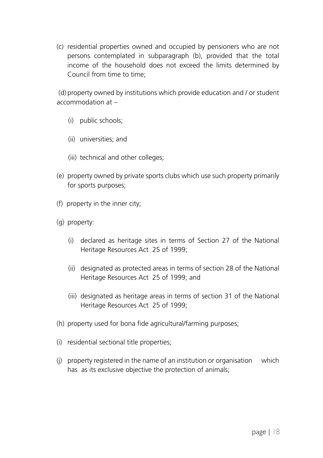(c) residential properties owned and occupied by pensioners who are not persons contemplated in subparagraph (b), provided that the total income of the household does not exceed the limits determined by Council from time to time;

 (d) property owned by institutions which provide education and / or student accommodation at –

- (i) public schools;
- (ii) universities; and
- (iii) technical and other colleges;
- (e) property owned by private sports clubs which use such property primarily for sports purposes;
- (f) property in the inner city;
- (g) property:
	- (i) declared as heritage sites in terms of Section 27 of the National Heritage Resources Act 25 of 1999;
	- (ii) designated as protected areas in terms of section 28 of the National Heritage Resources Act 25 of 1999; and
	- (iii) designated as heritage areas in terms of section 31 of the National Heritage Resources Act 25 of 1999;
- (h) property used for bona fide agricultural/farming purposes;
- (i) residential sectional title properties;
- (j) property registered in the name of an institution or organisation which has as its exclusive objective the protection of animals;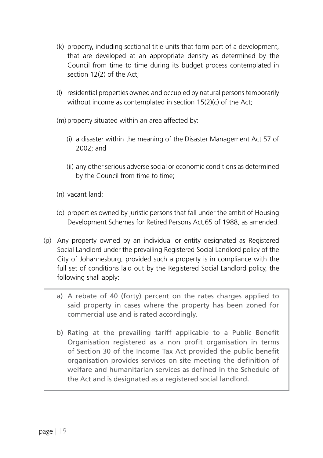- (k) property, including sectional title units that form part of a development, that are developed at an appropriate density as determined by the Council from time to time during its budget process contemplated in section 12(2) of the Act;
- (l) residential properties owned and occupied by natural persons temporarily without income as contemplated in section 15(2)(c) of the Act;
- (m) property situated within an area affected by:
	- (i) a disaster within the meaning of the Disaster Management Act 57 of 2002; and
	- (ii) any other serious adverse social or economic conditions as determined by the Council from time to time;
- (n) vacant land;
- (o) properties owned by juristic persons that fall under the ambit of Housing Development Schemes for Retired Persons Act,65 of 1988, as amended.
- (p) Any property owned by an individual or entity designated as Registered Social Landlord under the prevailing Registered Social Landlord policy of the City of Johannesburg, provided such a property is in compliance with the full set of conditions laid out by the Registered Social Landlord policy, the following shall apply:
	- a) A rebate of 40 (forty) percent on the rates charges applied to said property in cases where the property has been zoned for commercial use and is rated accordingly.
	- b) Rating at the prevailing tariff applicable to a Public Benefit Organisation registered as a non profit organisation in terms of Section 30 of the Income Tax Act provided the public benefit organisation provides services on site meeting the definition of welfare and humanitarian services as defined in the Schedule of the Act and is designated as a registered social landlord.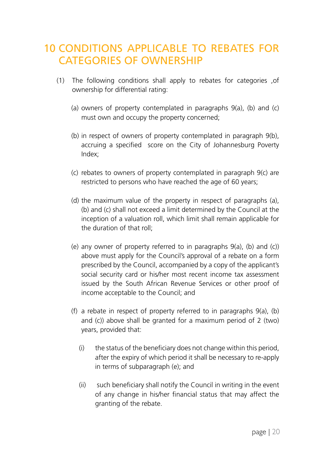### 10 CONDITIONS APPLICABLE TO REBATES FOR CATEGORIES OF OWNERSHIP

- (1) The following conditions shall apply to rebates for categories ,of ownership for differential rating:
	- (a) owners of property contemplated in paragraphs 9(a), (b) and (c) must own and occupy the property concerned;
	- (b) in respect of owners of property contemplated in paragraph 9(b), accruing a specified score on the City of Johannesburg Poverty Index;
	- (c) rebates to owners of property contemplated in paragraph 9(c) are restricted to persons who have reached the age of 60 years;
	- (d) the maximum value of the property in respect of paragraphs (a), (b) and (c) shall not exceed a limit determined by the Council at the inception of a valuation roll, which limit shall remain applicable for the duration of that roll;
	- (e) any owner of property referred to in paragraphs 9(a), (b) and (c)) above must apply for the Council's approval of a rebate on a form prescribed by the Council, accompanied by a copy of the applicant's social security card or his/her most recent income tax assessment issued by the South African Revenue Services or other proof of income acceptable to the Council; and
	- (f) a rebate in respect of property referred to in paragraphs 9(a), (b) and (c)) above shall be granted for a maximum period of 2 (two) years, provided that:
		- (i) the status of the beneficiary does not change within this period, after the expiry of which period it shall be necessary to re-apply in terms of subparagraph (e); and
		- (ii) such beneficiary shall notify the Council in writing in the event of any change in his/her financial status that may affect the granting of the rebate.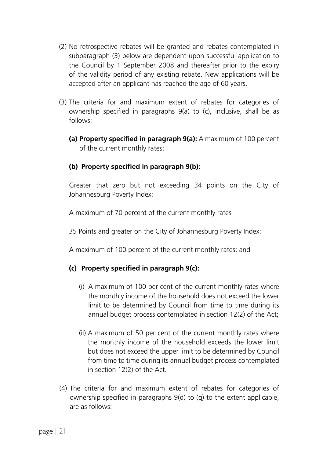- (2) No retrospective rebates will be granted and rebates contemplated in subparagraph (3) below are dependent upon successful application to the Council by 1 September 2008 and thereafter prior to the expiry of the validity period of any existing rebate. New applications will be accepted after an applicant has reached the age of 60 years.
- (3) The criteria for and maximum extent of rebates for categories of ownership specified in paragraphs 9(a) to (c), inclusive, shall be as follows:
	- **(a) Property specified in paragraph 9(a):** A maximum of 100 percent of the current monthly rates;

#### **(b) Property specified in paragraph 9(b):**

Greater that zero but not exceeding 34 points on the City of Johannesburg Poverty Index:

A maximum of 70 percent of the current monthly rates

35 Points and greater on the City of Johannesburg Poverty Index:

A maximum of 100 percent of the current monthly rates; and

#### **(c) Property specified in paragraph 9(c):**

- (i) A maximum of 100 per cent of the current monthly rates where the monthly income of the household does not exceed the lower limit to be determined by Council from time to time during its annual budget process contemplated in section 12(2) of the Act;
- (ii) A maximum of 50 per cent of the current monthly rates where the monthly income of the household exceeds the lower limit but does not exceed the upper limit to be determined by Council from time to time during its annual budget process contemplated in section 12(2) of the Act.
- (4) The criteria for and maximum extent of rebates for categories of ownership specified in paragraphs 9(d) to (q) to the extent applicable, are as follows: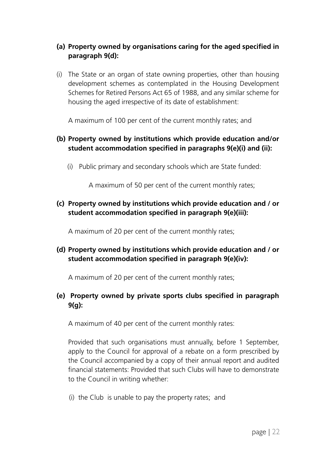#### **(a) Property owned by organisations caring for the aged specified in paragraph 9(d):**

(i) The State or an organ of state owning properties, other than housing development schemes as contemplated in the Housing Development Schemes for Retired Persons Act 65 of 1988, and any similar scheme for housing the aged irrespective of its date of establishment:

A maximum of 100 per cent of the current monthly rates; and

#### **(b) Property owned by institutions which provide education and/or student accommodation specified in paragraphs 9(e)(i) and (ii):**

(i) Public primary and secondary schools which are State funded:

A maximum of 50 per cent of the current monthly rates;

**(c) Property owned by institutions which provide education and / or student accommodation specified in paragraph 9(e)(iii):**

A maximum of 20 per cent of the current monthly rates;

**(d) Property owned by institutions which provide education and / or student accommodation specified in paragraph 9(e)(iv):**

A maximum of 20 per cent of the current monthly rates;

#### **(e) Property owned by private sports clubs specified in paragraph 9(g):**

A maximum of 40 per cent of the current monthly rates:

Provided that such organisations must annually, before 1 September, apply to the Council for approval of a rebate on a form prescribed by the Council accompanied by a copy of their annual report and audited financial statements: Provided that such Clubs will have to demonstrate to the Council in writing whether:

(i) the Club is unable to pay the property rates; and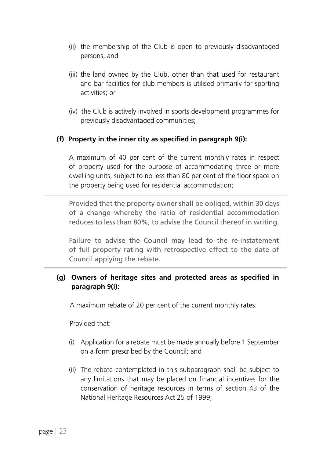- (ii) the membership of the Club is open to previously disadvantaged persons; and
- (iii) the land owned by the Club, other than that used for restaurant and bar facilities for club members is utilised primarily for sporting activities; or
- (iv) the Club is actively involved in sports development programmes for previously disadvantaged communities;

#### **(f) Property in the inner city as specified in paragraph 9(i):**

A maximum of 40 per cent of the current monthly rates in respect of property used for the purpose of accommodating three or more dwelling units, subject to no less than 80 per cent of the floor space on the property being used for residential accommodation;

Provided that the property owner shall be obliged, within 30 days of a change whereby the ratio of residential accommodation reduces to less than 80%, to advise the Council thereof in writing.

Failure to advise the Council may lead to the re-instatement of full property rating with retrospective effect to the date of Council applying the rebate.

#### **(g) Owners of heritage sites and protected areas as specified in paragraph 9(i):**

A maximum rebate of 20 per cent of the current monthly rates:

Provided that:

- (i) Application for a rebate must be made annually before 1 September on a form prescribed by the Council; and
- (ii) The rebate contemplated in this subparagraph shall be subject to any limitations that may be placed on financial incentives for the conservation of heritage resources in terms of section 43 of the National Heritage Resources Act 25 of 1999;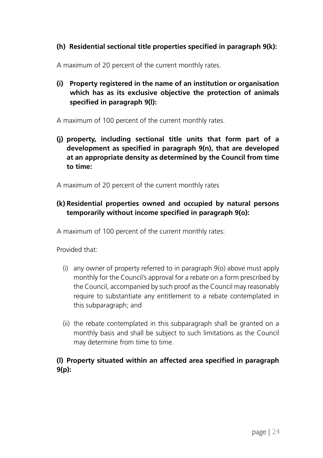#### **(h) Residential sectional title properties specified in paragraph 9(k):**

A maximum of 20 percent of the current monthly rates.

**(i) Property registered in the name of an institution or organisation which has as its exclusive objective the protection of animals specified in paragraph 9(l):**

A maximum of 100 percent of the current monthly rates.

**(j) property, including sectional title units that form part of a development as specified in paragraph 9(n), that are developed at an appropriate density as determined by the Council from time to time:** 

A maximum of 20 percent of the current monthly rates

#### **(k) Residential properties owned and occupied by natural persons temporarily without income specified in paragraph 9(o):**

A maximum of 100 percent of the current monthly rates:

Provided that:

- (i) any owner of property referred to in paragraph 9(o) above must apply monthly for the Council's approval for a rebate on a form prescribed by the Council, accompanied by such proof as the Council may reasonably require to substantiate any entitlement to a rebate contemplated in this subparagraph; and
- (ii) the rebate contemplated in this subparagraph shall be granted on a monthly basis and shall be subject to such limitations as the Council may determine from time to time.

#### **(l) Property situated within an affected area specified in paragraph 9(p):**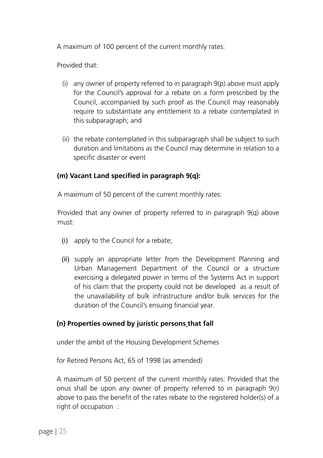A maximum of 100 percent of the current monthly rates:

Provided that:

- (i) any owner of property referred to in paragraph 9(p) above must apply for the Council's approval for a rebate on a form prescribed by the Council, accompanied by such proof as the Council may reasonably require to substantiate any entitlement to a rebate contemplated in this subparagraph; and
- (ii) the rebate contemplated in this subparagraph shall be subject to such duration and limitations as the Council may determine in relation to a specific disaster or event

#### **(m) Vacant Land specified in paragraph 9(q):**

A maximum of 50 percent of the current monthly rates:

Provided that any owner of property referred to in paragraph 9(q) above must:

- (i) apply to the Council for a rebate;
- (ii) supply an appropriate letter from the Development Planning and Urban Management Department of the Council or a structure exercising a delegated power in terms of the Systems Act in support of his claim that the property could not be developed as a result of the unavailability of bulk infrastructure and/or bulk services for the duration of the Council's ensuing financial year.

#### **(n) Properties owned by juristic persons that fall**

under the ambit of the Housing Development Schemes

for Retired Persons Act, 65 of 1998 (as amended)

A maximum of 50 percent of the current monthly rates: Provided that the onus shall be upon any owner of property referred to in paragraph 9(r) above to pass the benefit of the rates rebate to the registered holder(s) of a right of occupation :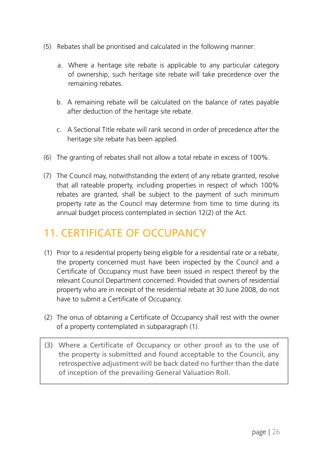- (5) Rebates shall be prioritised and calculated in the following manner:
	- a. Where a heritage site rebate is applicable to any particular category of ownership, such heritage site rebate will take precedence over the remaining rebates.
	- b. A remaining rebate will be calculated on the balance of rates payable after deduction of the heritage site rebate.
	- c. A Sectional Title rebate will rank second in order of precedence after the heritage site rebate has been applied.
- (6) The granting of rebates shall not allow a total rebate in excess of 100%.
- (7) The Council may, notwithstanding the extent of any rebate granted, resolve that all rateable property, including properties in respect of which 100% rebates are granted, shall be subject to the payment of such minimum property rate as the Council may determine from time to time during its annual budget process contemplated in section 12(2) of the Act.

### 11. CERTIFICATE OF OCCUPANCY

- (1) Prior to a residential property being eligible for a residential rate or a rebate, the property concerned must have been inspected by the Council and a Certificate of Occupancy must have been issued in respect thereof by the relevant Council Department concerned: Provided that owners of residential property who are in receipt of the residential rebate at 30 June 2008, do not have to submit a Certificate of Occupancy.
- (2) The onus of obtaining a Certificate of Occupancy shall rest with the owner of a property contemplated in subparagraph (1).
- (3) Where a Certificate of Occupancy or other proof as to the use of the property is submitted and found acceptable to the Council, any retrospective adjustment will be back dated no further than the date of inception of the prevailing General Valuation Roll.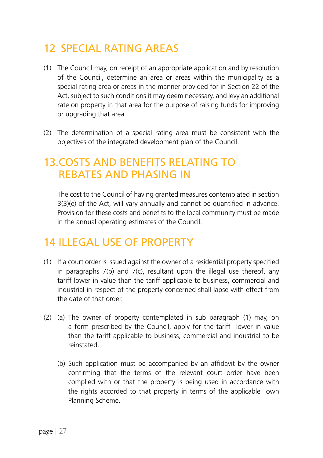### 12 SPECIAL RATING AREAS

- (1) The Council may, on receipt of an appropriate application and by resolution of the Council, determine an area or areas within the municipality as a special rating area or areas in the manner provided for in Section 22 of the Act, subject to such conditions it may deem necessary, and levy an additional rate on property in that area for the purpose of raising funds for improving or upgrading that area.
- (2) The determination of a special rating area must be consistent with the objectives of the integrated development plan of the Council.

### 13.COSTS AND BENEFITS RELATING TO REBATES AND PHASING IN

The cost to the Council of having granted measures contemplated in section 3(3)(e) of the Act, will vary annually and cannot be quantified in advance. Provision for these costs and benefits to the local community must be made in the annual operating estimates of the Council.

### 14 ILLEGAL USE OF PROPERTY

- (1) If a court order is issued against the owner of a residential property specified in paragraphs 7(b) and 7(c), resultant upon the illegal use thereof, any tariff lower in value than the tariff applicable to business, commercial and industrial in respect of the property concerned shall lapse with effect from the date of that order.
- (2) (a) The owner of property contemplated in sub paragraph (1) may, on a form prescribed by the Council, apply for the tariff lower in value than the tariff applicable to business, commercial and industrial to be reinstated.
	- (b) Such application must be accompanied by an affidavit by the owner confirming that the terms of the relevant court order have been complied with or that the property is being used in accordance with the rights accorded to that property in terms of the applicable Town Planning Scheme.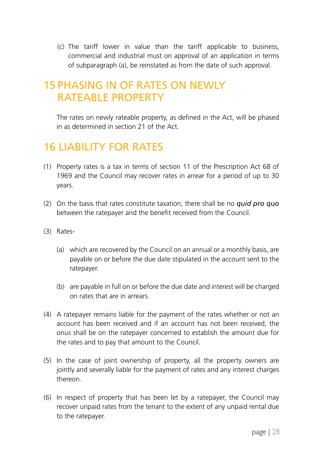(c) The tariff lower in value than the tariff applicable to business, commercial and industrial must on approval of an application in terms of subparagraph (a), be reinstated as from the date of such approval.

### 15 PHASING IN OF RATES ON NEWLY RATEABLE PROPERTY

The rates on newly rateable property, as defined in the Act, will be phased in as determined in section 21 of the Act.

### 16 LIABILITY FOR RATES

- (1) Property rates is a tax in terms of section 11 of the Prescription Act 68 of 1969 and the Council may recover rates in arrear for a period of up to 30 years.
- (2) On the basis that rates constitute taxation, there shall be no *quid pro quo*  between the ratepayer and the benefit received from the Council.
- (3) Rates-
	- (a) which are recovered by the Council on an annual or a monthly basis, are payable on or before the due date stipulated in the account sent to the ratepayer.
	- (b) are payable in full on or before the due date and interest will be charged on rates that are in arrears.
- (4) A ratepayer remains liable for the payment of the rates whether or not an account has been received and if an account has not been received, the onus shall be on the ratepayer concerned to establish the amount due for the rates and to pay that amount to the Council.
- (5) In the case of joint ownership of property, all the property owners are jointly and severally liable for the payment of rates and any interest charges thereon.
- (6) In respect of property that has been let by a ratepayer, the Council may recover unpaid rates from the tenant to the extent of any unpaid rental due to the ratepayer.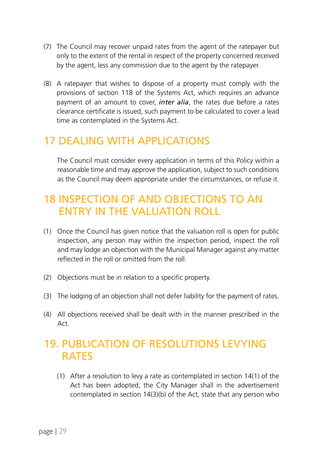- (7) The Council may recover unpaid rates from the agent of the ratepayer but only to the extent of the rental in respect of the property concerned received by the agent, less any commission due to the agent by the ratepayer.
- (8) A ratepayer that wishes to dispose of a property must comply with the provisions of section 118 of the Systems Act, which requires an advance payment of an amount to cover, *inter alia*, the rates due before a rates clearance certificate is issued, such payment to be calculated to cover a lead time as contemplated in the Systems Act.

### 17 DEALING WITH APPLICATIONS

The Council must consider every application in terms of this Policy within a reasonable time and may approve the application, subject to such conditions as the Council may deem appropriate under the circumstances, or refuse it.

### 18 INSPECTION OF AND OBJECTIONS TO AN ENTRY IN THE VALUATION ROLL

- (1) Once the Council has given notice that the valuation roll is open for public inspection, any person may within the inspection period, inspect the roll and may lodge an objection with the Municipal Manager against any matter reflected in the roll or omitted from the roll.
- (2) Objections must be in relation to a specific property.
- (3) The lodging of an objection shall not defer liability for the payment of rates.
- (4) All objections received shall be dealt with in the manner prescribed in the Act.

### 19. PUBLICATION OF RESOLUTIONS LEVYING RATES

(1) After a resolution to levy a rate as contemplated in section 14(1) of the Act has been adopted, the City Manager shall in the advertisement contemplated in section 14(3)(b) of the Act, state that any person who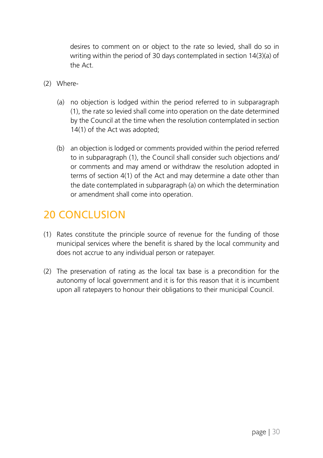desires to comment on or object to the rate so levied, shall do so in writing within the period of 30 days contemplated in section 14(3)(a) of the Act.

- (2) Where-
	- (a) no objection is lodged within the period referred to in subparagraph (1), the rate so levied shall come into operation on the date determined by the Council at the time when the resolution contemplated in section 14(1) of the Act was adopted;
	- (b) an objection is lodged or comments provided within the period referred to in subparagraph (1), the Council shall consider such objections and/ or comments and may amend or withdraw the resolution adopted in terms of section 4(1) of the Act and may determine a date other than the date contemplated in subparagraph (a) on which the determination or amendment shall come into operation.

### 20 CONCLUSION

- (1) Rates constitute the principle source of revenue for the funding of those municipal services where the benefit is shared by the local community and does not accrue to any individual person or ratepayer.
- (2) The preservation of rating as the local tax base is a precondition for the autonomy of local government and it is for this reason that it is incumbent upon all ratepayers to honour their obligations to their municipal Council.